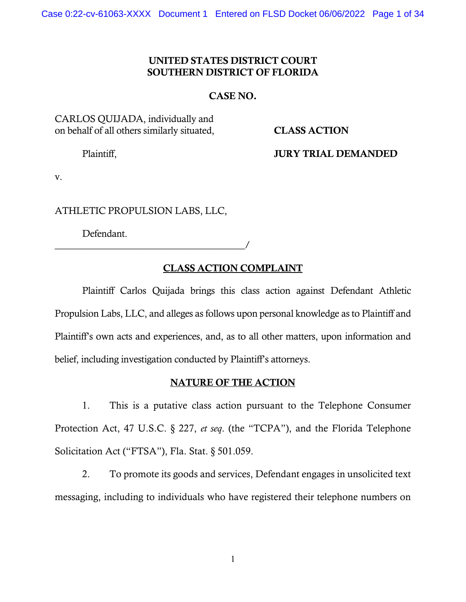#### UNITED STATES DISTRICT COURT SOUTHERN DISTRICT OF FLORIDA

#### CASE NO.

CARLOS QUIJADA, individually and on behalf of all others similarly situated, CLASS ACTION

Plaintiff, **JURY TRIAL DEMANDED** 

v.

ATHLETIC PROPULSION LABS, LLC,

Defendant.

\_\_\_\_\_\_\_\_\_\_\_\_\_\_\_\_\_\_\_\_\_\_\_\_\_\_\_\_\_\_\_\_\_\_\_\_\_\_\_\_/

# CLASS ACTION COMPLAINT

Plaintiff Carlos Quijada brings this class action against Defendant Athletic Propulsion Labs, LLC, and alleges as follows upon personal knowledge as to Plaintiff and Plaintiff's own acts and experiences, and, as to all other matters, upon information and belief, including investigation conducted by Plaintiff's attorneys.

## NATURE OF THE ACTION

1. This is a putative class action pursuant to the Telephone Consumer Protection Act, 47 U.S.C. § 227, *et seq*. (the "TCPA"), and the Florida Telephone Solicitation Act ("FTSA"), Fla. Stat. § 501.059.

2. To promote its goods and services, Defendant engages in unsolicited text messaging, including to individuals who have registered their telephone numbers on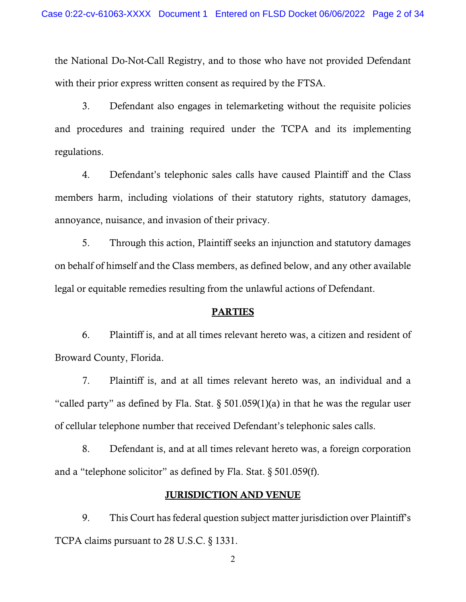the National Do-Not-Call Registry, and to those who have not provided Defendant with their prior express written consent as required by the FTSA.

3. Defendant also engages in telemarketing without the requisite policies and procedures and training required under the TCPA and its implementing regulations.

4. Defendant's telephonic sales calls have caused Plaintiff and the Class members harm, including violations of their statutory rights, statutory damages, annoyance, nuisance, and invasion of their privacy.

5. Through this action, Plaintiff seeks an injunction and statutory damages on behalf of himself and the Class members, as defined below, and any other available legal or equitable remedies resulting from the unlawful actions of Defendant.

#### PARTIES

6. Plaintiff is, and at all times relevant hereto was, a citizen and resident of Broward County, Florida.

7. Plaintiff is, and at all times relevant hereto was, an individual and a "called party" as defined by Fla. Stat.  $\S$  501.059(1)(a) in that he was the regular user of cellular telephone number that received Defendant's telephonic sales calls.

8. Defendant is, and at all times relevant hereto was, a foreign corporation and a "telephone solicitor" as defined by Fla. Stat. § 501.059(f).

#### JURISDICTION AND VENUE

9. This Court has federal question subject matter jurisdiction over Plaintiff's TCPA claims pursuant to 28 U.S.C. § 1331.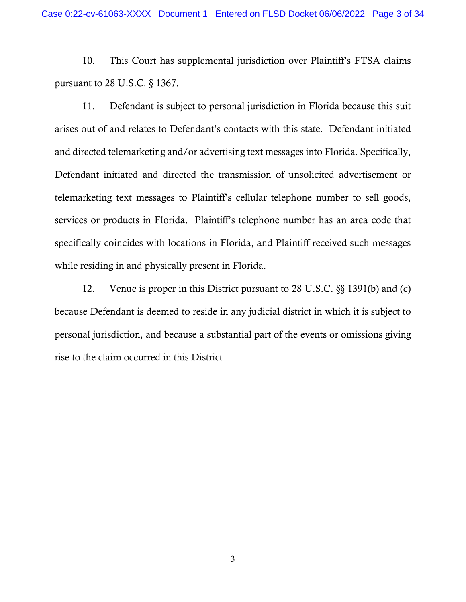10. This Court has supplemental jurisdiction over Plaintiff's FTSA claims pursuant to 28 U.S.C. § 1367.

11. Defendant is subject to personal jurisdiction in Florida because this suit arises out of and relates to Defendant's contacts with this state. Defendant initiated and directed telemarketing and/or advertising text messages into Florida. Specifically, Defendant initiated and directed the transmission of unsolicited advertisement or telemarketing text messages to Plaintiff's cellular telephone number to sell goods, services or products in Florida. Plaintiff's telephone number has an area code that specifically coincides with locations in Florida, and Plaintiff received such messages while residing in and physically present in Florida.

12. Venue is proper in this District pursuant to 28 U.S.C. §§ 1391(b) and (c) because Defendant is deemed to reside in any judicial district in which it is subject to personal jurisdiction, and because a substantial part of the events or omissions giving rise to the claim occurred in this District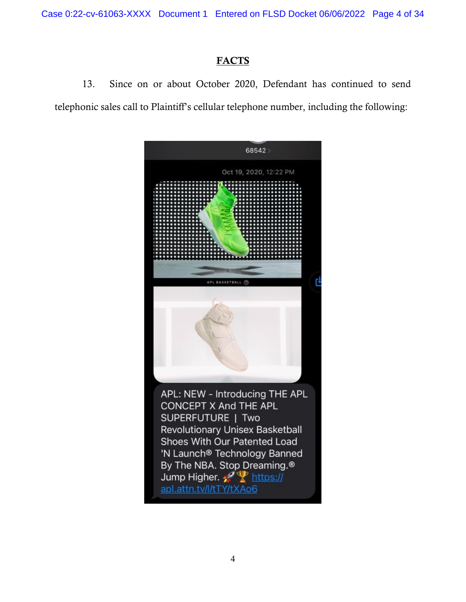Case 0:22-cv-61063-XXXX Document 1 Entered on FLSD Docket 06/06/2022 Page 4 of 34

# **FACTS**

13. Since on or about October 2020, Defendant has continued to send telephonic sales call to Plaintiff's cellular telephone number, including the following:

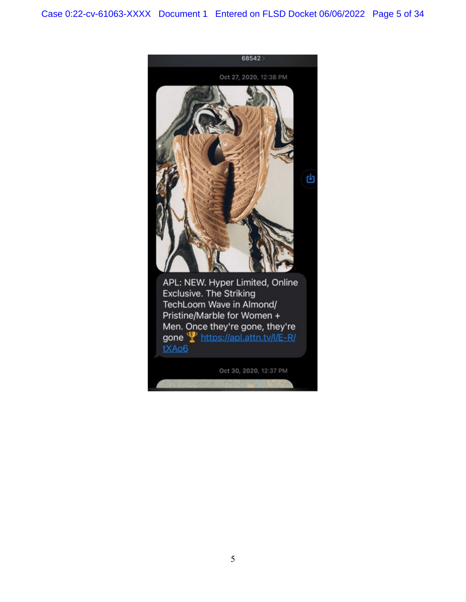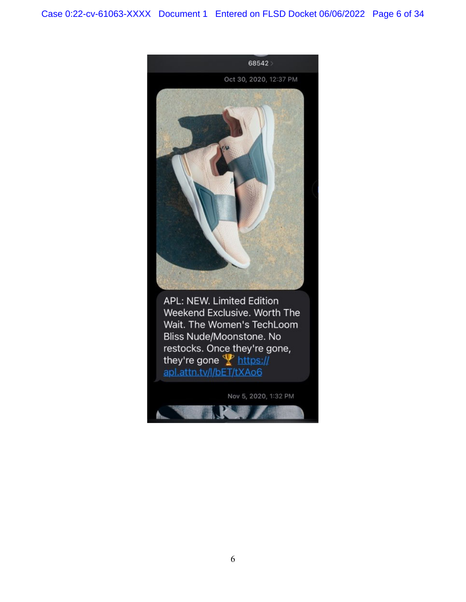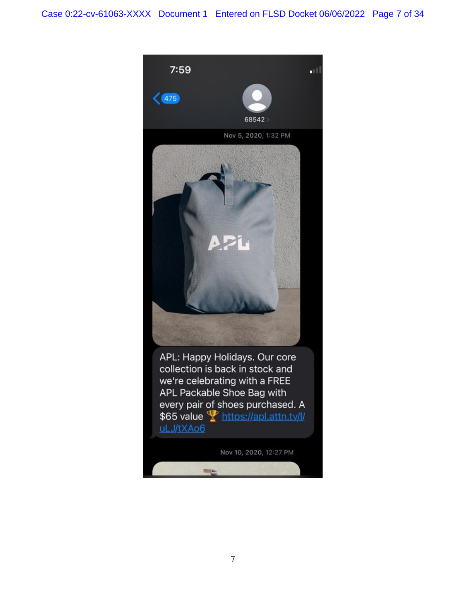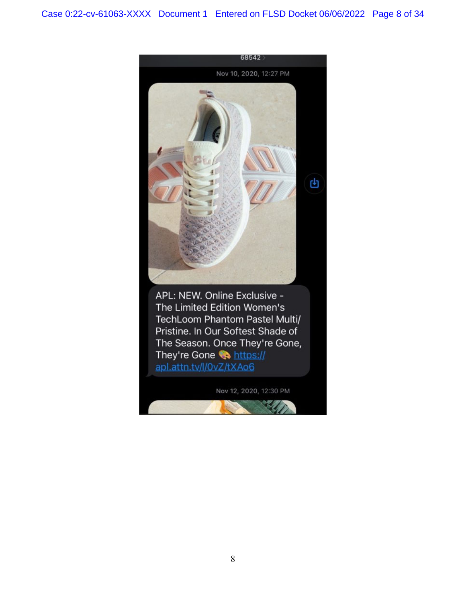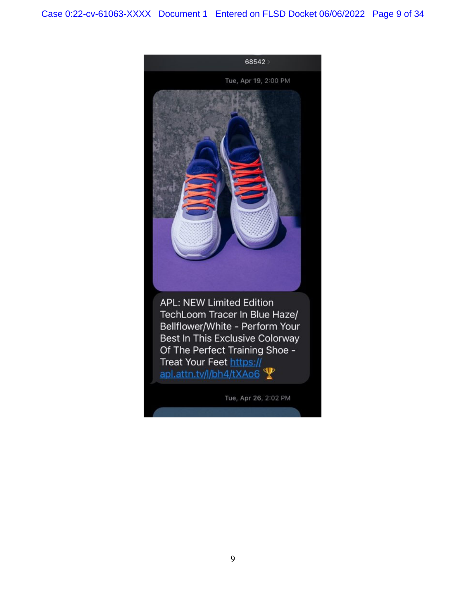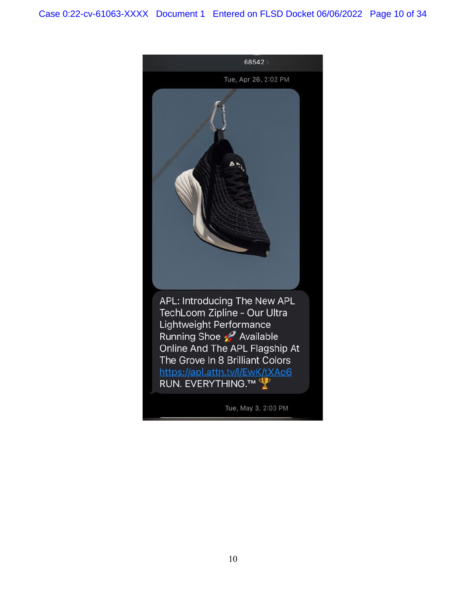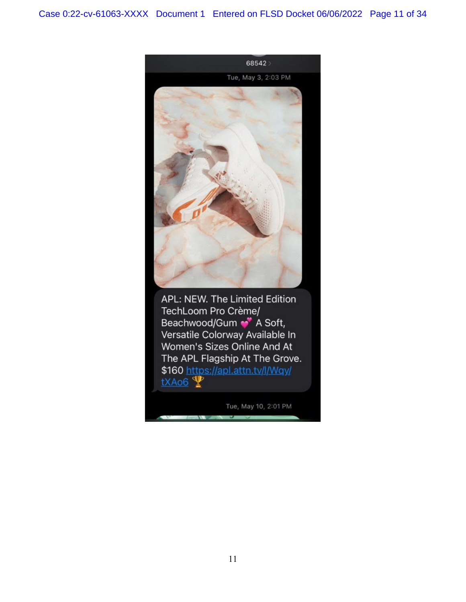![](_page_10_Picture_1.jpeg)

Tue, May 10, 2:01 PM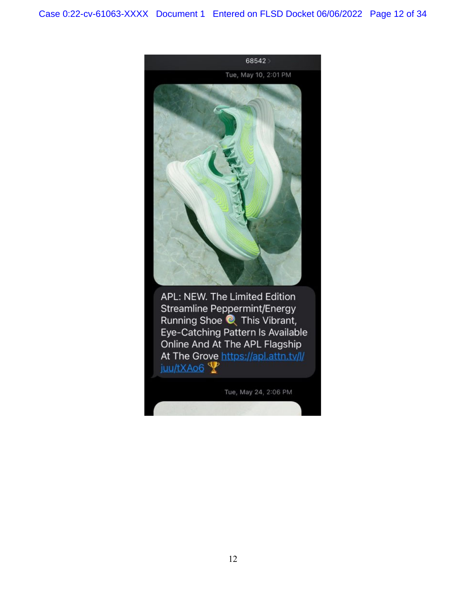![](_page_11_Picture_1.jpeg)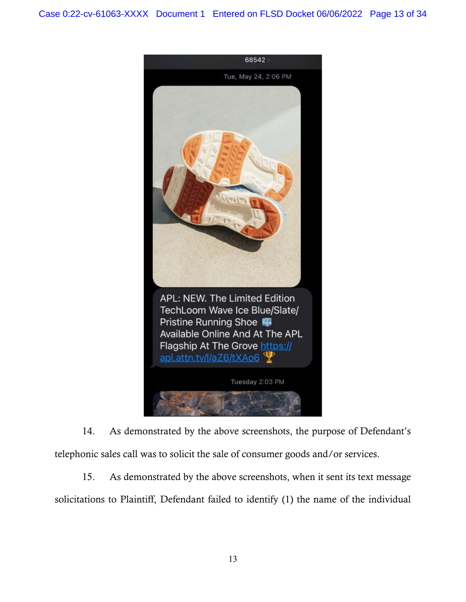![](_page_12_Picture_1.jpeg)

14. As demonstrated by the above screenshots, the purpose of Defendant's telephonic sales call was to solicit the sale of consumer goods and/or services.

15. As demonstrated by the above screenshots, when it sent its text message solicitations to Plaintiff, Defendant failed to identify (1) the name of the individual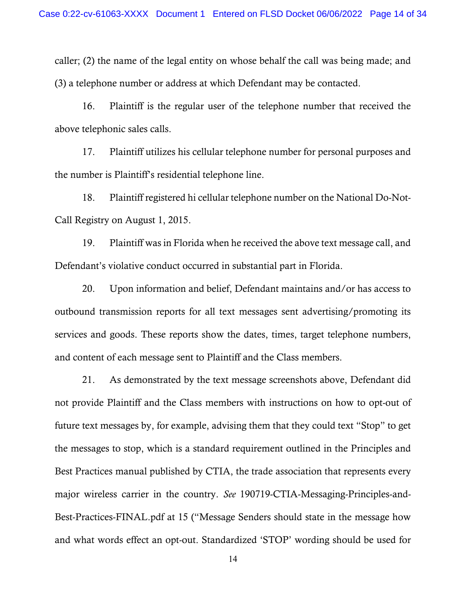caller; (2) the name of the legal entity on whose behalf the call was being made; and (3) a telephone number or address at which Defendant may be contacted.

16. Plaintiff is the regular user of the telephone number that received the above telephonic sales calls.

17. Plaintiff utilizes his cellular telephone number for personal purposes and the number is Plaintiff's residential telephone line.

18. Plaintiff registered hi cellular telephone number on the National Do-Not-Call Registry on August 1, 2015.

19. Plaintiff was in Florida when he received the above text message call, and Defendant's violative conduct occurred in substantial part in Florida.

20. Upon information and belief, Defendant maintains and/or has access to outbound transmission reports for all text messages sent advertising/promoting its services and goods. These reports show the dates, times, target telephone numbers, and content of each message sent to Plaintiff and the Class members.

21. As demonstrated by the text message screenshots above, Defendant did not provide Plaintiff and the Class members with instructions on how to opt-out of future text messages by, for example, advising them that they could text "Stop" to get the messages to stop, which is a standard requirement outlined in the Principles and Best Practices manual published by CTIA, the trade association that represents every major wireless carrier in the country. *See* 190719-CTIA-Messaging-Principles-and-Best-Practices-FINAL.pdf at 15 ("Message Senders should state in the message how and what words effect an opt-out. Standardized 'STOP' wording should be used for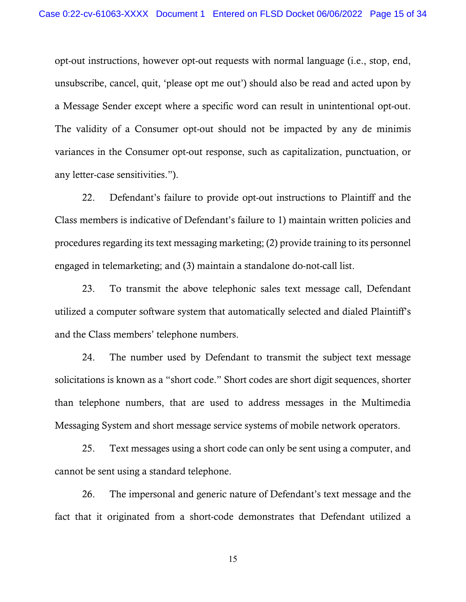opt-out instructions, however opt-out requests with normal language (i.e., stop, end, unsubscribe, cancel, quit, 'please opt me out') should also be read and acted upon by a Message Sender except where a specific word can result in unintentional opt-out. The validity of a Consumer opt-out should not be impacted by any de minimis variances in the Consumer opt-out response, such as capitalization, punctuation, or any letter-case sensitivities.").

22. Defendant's failure to provide opt-out instructions to Plaintiff and the Class members is indicative of Defendant's failure to 1) maintain written policies and procedures regarding its text messaging marketing; (2) provide training to its personnel engaged in telemarketing; and (3) maintain a standalone do-not-call list.

23. To transmit the above telephonic sales text message call, Defendant utilized a computer software system that automatically selected and dialed Plaintiff's and the Class members' telephone numbers.

24. The number used by Defendant to transmit the subject text message solicitations is known as a "short code." Short codes are short digit sequences, shorter than telephone numbers, that are used to address messages in the Multimedia Messaging System and short message service systems of mobile network operators.

25. Text messages using a short code can only be sent using a computer, and cannot be sent using a standard telephone.

26. The impersonal and generic nature of Defendant's text message and the fact that it originated from a short-code demonstrates that Defendant utilized a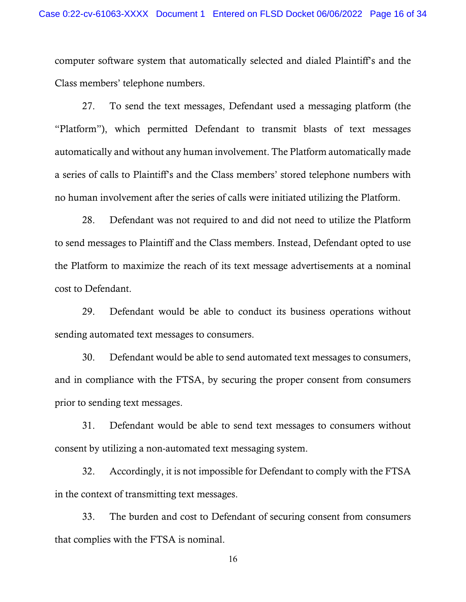computer software system that automatically selected and dialed Plaintiff's and the Class members' telephone numbers.

27. To send the text messages, Defendant used a messaging platform (the "Platform"), which permitted Defendant to transmit blasts of text messages automatically and without any human involvement. The Platform automatically made a series of calls to Plaintiff's and the Class members' stored telephone numbers with no human involvement after the series of calls were initiated utilizing the Platform.

28. Defendant was not required to and did not need to utilize the Platform to send messages to Plaintiff and the Class members. Instead, Defendant opted to use the Platform to maximize the reach of its text message advertisements at a nominal cost to Defendant.

29. Defendant would be able to conduct its business operations without sending automated text messages to consumers.

30. Defendant would be able to send automated text messages to consumers, and in compliance with the FTSA, by securing the proper consent from consumers prior to sending text messages.

31. Defendant would be able to send text messages to consumers without consent by utilizing a non-automated text messaging system.

32. Accordingly, it is not impossible for Defendant to comply with the FTSA in the context of transmitting text messages.

33. The burden and cost to Defendant of securing consent from consumers that complies with the FTSA is nominal.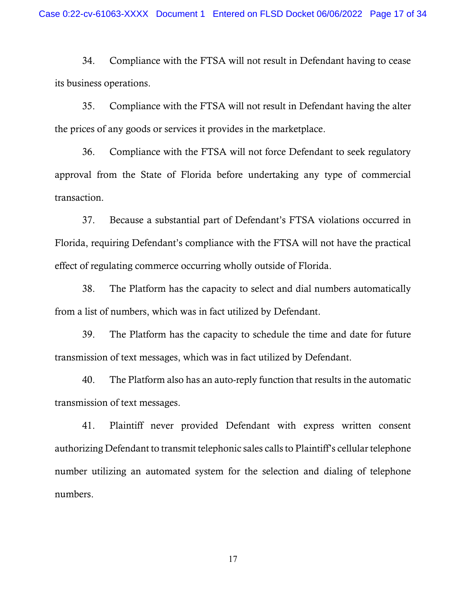34. Compliance with the FTSA will not result in Defendant having to cease its business operations.

35. Compliance with the FTSA will not result in Defendant having the alter the prices of any goods or services it provides in the marketplace.

36. Compliance with the FTSA will not force Defendant to seek regulatory approval from the State of Florida before undertaking any type of commercial transaction.

37. Because a substantial part of Defendant's FTSA violations occurred in Florida, requiring Defendant's compliance with the FTSA will not have the practical effect of regulating commerce occurring wholly outside of Florida.

38. The Platform has the capacity to select and dial numbers automatically from a list of numbers, which was in fact utilized by Defendant.

39. The Platform has the capacity to schedule the time and date for future transmission of text messages, which was in fact utilized by Defendant.

40. The Platform also has an auto-reply function that results in the automatic transmission of text messages.

41. Plaintiff never provided Defendant with express written consent authorizing Defendant to transmit telephonic sales calls to Plaintiff's cellular telephone number utilizing an automated system for the selection and dialing of telephone numbers.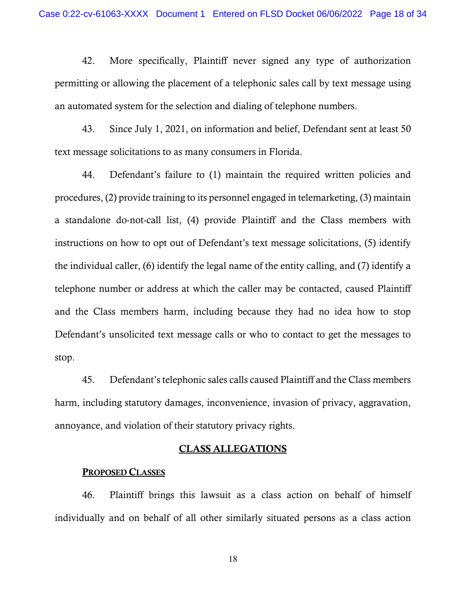42. More specifically, Plaintiff never signed any type of authorization permitting or allowing the placement of a telephonic sales call by text message using an automated system for the selection and dialing of telephone numbers.

43. Since July 1, 2021, on information and belief, Defendant sent at least 50 text message solicitations to as many consumers in Florida.

44. Defendant's failure to (1) maintain the required written policies and procedures, (2) provide training to its personnel engaged in telemarketing, (3) maintain a standalone do-not-call list, (4) provide Plaintiff and the Class members with instructions on how to opt out of Defendant's text message solicitations, (5) identify the individual caller, (6) identify the legal name of the entity calling, and (7) identify a telephone number or address at which the caller may be contacted, caused Plaintiff and the Class members harm, including because they had no idea how to stop Defendant's unsolicited text message calls or who to contact to get the messages to stop.

45. Defendant's telephonic sales calls caused Plaintiff and the Class members harm, including statutory damages, inconvenience, invasion of privacy, aggravation, annoyance, and violation of their statutory privacy rights.

#### CLASS ALLEGATIONS

#### PROPOSED CLASSES

46. Plaintiff brings this lawsuit as a class action on behalf of himself individually and on behalf of all other similarly situated persons as a class action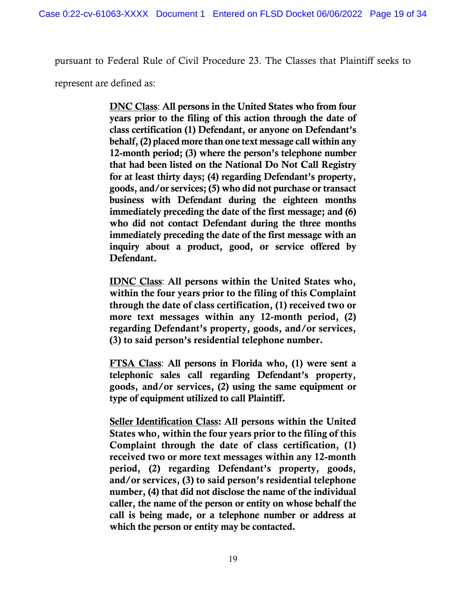pursuant to Federal Rule of Civil Procedure 23. The Classes that Plaintiff seeks to

represent are defined as:

DNC Class: All persons in the United States who from four years prior to the filing of this action through the date of class certification (1) Defendant, or anyone on Defendant's behalf, (2) placed more than one text message call within any 12-month period; (3) where the person's telephone number that had been listed on the National Do Not Call Registry for at least thirty days; (4) regarding Defendant's property, goods, and/or services; (5) who did not purchase or transact business with Defendant during the eighteen months immediately preceding the date of the first message; and (6) who did not contact Defendant during the three months immediately preceding the date of the first message with an inquiry about a product, good, or service offered by Defendant.

IDNC Class: All persons within the United States who, within the four years prior to the filing of this Complaint through the date of class certification, (1) received two or more text messages within any 12-month period, (2) regarding Defendant's property, goods, and/or services, (3) to said person's residential telephone number.

FTSA Class: All persons in Florida who, (1) were sent a telephonic sales call regarding Defendant's property, goods, and/or services, (2) using the same equipment or type of equipment utilized to call Plaintiff.

Seller Identification Class: All persons within the United States who, within the four years prior to the filing of this Complaint through the date of class certification, (1) received two or more text messages within any 12-month period, (2) regarding Defendant's property, goods, and/or services, (3) to said person's residential telephone number, (4) that did not disclose the name of the individual caller, the name of the person or entity on whose behalf the call is being made, or a telephone number or address at which the person or entity may be contacted.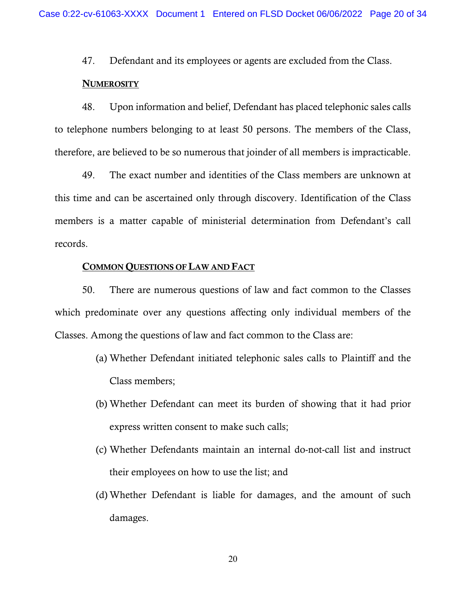47. Defendant and its employees or agents are excluded from the Class.

#### **NUMEROSITY**

48. Upon information and belief, Defendant has placed telephonic sales calls to telephone numbers belonging to at least 50 persons. The members of the Class, therefore, are believed to be so numerous that joinder of all members is impracticable.

49. The exact number and identities of the Class members are unknown at this time and can be ascertained only through discovery. Identification of the Class members is a matter capable of ministerial determination from Defendant's call records.

#### COMMON QUESTIONS OF LAW AND FACT

50. There are numerous questions of law and fact common to the Classes which predominate over any questions affecting only individual members of the Classes. Among the questions of law and fact common to the Class are:

- (a) Whether Defendant initiated telephonic sales calls to Plaintiff and the Class members;
- (b) Whether Defendant can meet its burden of showing that it had prior express written consent to make such calls;
- (c) Whether Defendants maintain an internal do-not-call list and instruct their employees on how to use the list; and
- (d) Whether Defendant is liable for damages, and the amount of such damages.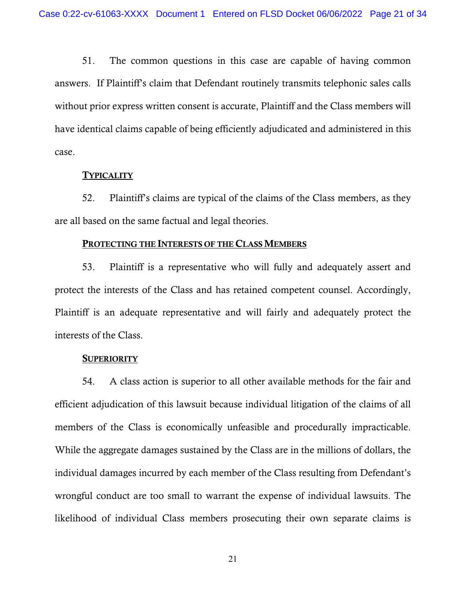51. The common questions in this case are capable of having common answers. If Plaintiff's claim that Defendant routinely transmits telephonic sales calls without prior express written consent is accurate, Plaintiff and the Class members will have identical claims capable of being efficiently adjudicated and administered in this case.

#### **TYPICALITY**

52. Plaintiff's claims are typical of the claims of the Class members, as they are all based on the same factual and legal theories.

#### PROTECTING THE INTERESTS OF THE CLASS MEMBERS

53. Plaintiff is a representative who will fully and adequately assert and protect the interests of the Class and has retained competent counsel. Accordingly, Plaintiff is an adequate representative and will fairly and adequately protect the interests of the Class.

#### **SUPERIORITY**

54. A class action is superior to all other available methods for the fair and efficient adjudication of this lawsuit because individual litigation of the claims of all members of the Class is economically unfeasible and procedurally impracticable. While the aggregate damages sustained by the Class are in the millions of dollars, the individual damages incurred by each member of the Class resulting from Defendant's wrongful conduct are too small to warrant the expense of individual lawsuits. The likelihood of individual Class members prosecuting their own separate claims is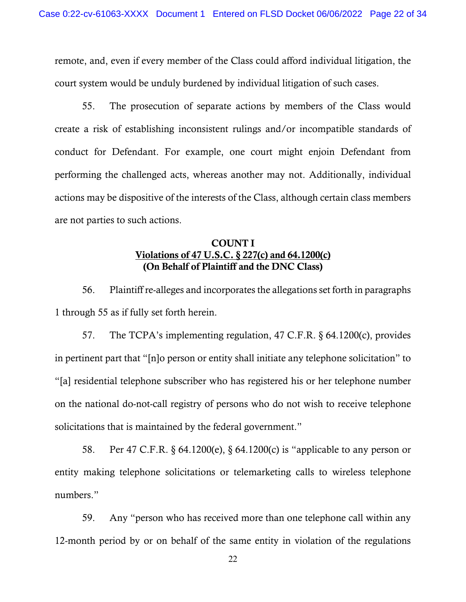remote, and, even if every member of the Class could afford individual litigation, the court system would be unduly burdened by individual litigation of such cases.

55. The prosecution of separate actions by members of the Class would create a risk of establishing inconsistent rulings and/or incompatible standards of conduct for Defendant. For example, one court might enjoin Defendant from performing the challenged acts, whereas another may not. Additionally, individual actions may be dispositive of the interests of the Class, although certain class members are not parties to such actions.

## COUNT I Violations of 47 U.S.C. § 227(c) and 64.1200(c) (On Behalf of Plaintiff and the DNC Class)

56. Plaintiff re-alleges and incorporates the allegations set forth in paragraphs 1 through 55 as if fully set forth herein.

57. The TCPA's implementing regulation, 47 C.F.R. § 64.1200(c), provides in pertinent part that "[n]o person or entity shall initiate any telephone solicitation" to "[a] residential telephone subscriber who has registered his or her telephone number on the national do-not-call registry of persons who do not wish to receive telephone solicitations that is maintained by the federal government."

58. Per 47 C.F.R. § 64.1200(e), § 64.1200(c) is "applicable to any person or entity making telephone solicitations or telemarketing calls to wireless telephone numbers."

59. Any "person who has received more than one telephone call within any 12-month period by or on behalf of the same entity in violation of the regulations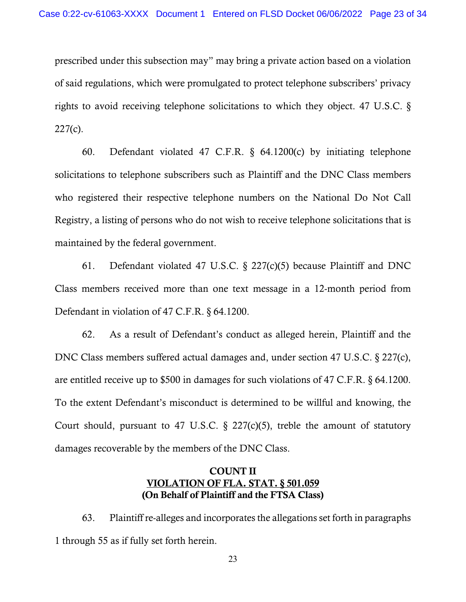prescribed under this subsection may" may bring a private action based on a violation of said regulations, which were promulgated to protect telephone subscribers' privacy rights to avoid receiving telephone solicitations to which they object. 47 U.S.C. § 227(c).

60. Defendant violated 47 C.F.R. § 64.1200(c) by initiating telephone solicitations to telephone subscribers such as Plaintiff and the DNC Class members who registered their respective telephone numbers on the National Do Not Call Registry, a listing of persons who do not wish to receive telephone solicitations that is maintained by the federal government.

61. Defendant violated 47 U.S.C. § 227(c)(5) because Plaintiff and DNC Class members received more than one text message in a 12-month period from Defendant in violation of 47 C.F.R. § 64.1200.

62. As a result of Defendant's conduct as alleged herein, Plaintiff and the DNC Class members suffered actual damages and, under section 47 U.S.C. § 227(c), are entitled receive up to \$500 in damages for such violations of 47 C.F.R. § 64.1200. To the extent Defendant's misconduct is determined to be willful and knowing, the Court should, pursuant to 47 U.S.C.  $\S$  227(c)(5), treble the amount of statutory damages recoverable by the members of the DNC Class.

# COUNT II VIOLATION OF FLA. STAT. § 501.059 (On Behalf of Plaintiff and the FTSA Class)

63. Plaintiff re-alleges and incorporates the allegations set forth in paragraphs 1 through 55 as if fully set forth herein.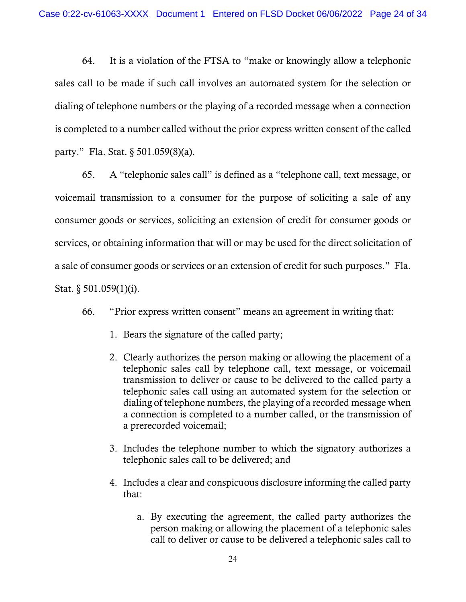64. It is a violation of the FTSA to "make or knowingly allow a telephonic sales call to be made if such call involves an automated system for the selection or dialing of telephone numbers or the playing of a recorded message when a connection is completed to a number called without the prior express written consent of the called party." Fla. Stat. § 501.059(8)(a).

65. A "telephonic sales call" is defined as a "telephone call, text message, or voicemail transmission to a consumer for the purpose of soliciting a sale of any consumer goods or services, soliciting an extension of credit for consumer goods or services, or obtaining information that will or may be used for the direct solicitation of a sale of consumer goods or services or an extension of credit for such purposes." Fla. Stat. § 501.059(1)(i).

- 66. "Prior express written consent" means an agreement in writing that:
	- 1. Bears the signature of the called party;
	- 2. Clearly authorizes the person making or allowing the placement of a telephonic sales call by telephone call, text message, or voicemail transmission to deliver or cause to be delivered to the called party a telephonic sales call using an automated system for the selection or dialing of telephone numbers, the playing of a recorded message when a connection is completed to a number called, or the transmission of a prerecorded voicemail;
	- 3. Includes the telephone number to which the signatory authorizes a telephonic sales call to be delivered; and
	- 4. Includes a clear and conspicuous disclosure informing the called party that:
		- a. By executing the agreement, the called party authorizes the person making or allowing the placement of a telephonic sales call to deliver or cause to be delivered a telephonic sales call to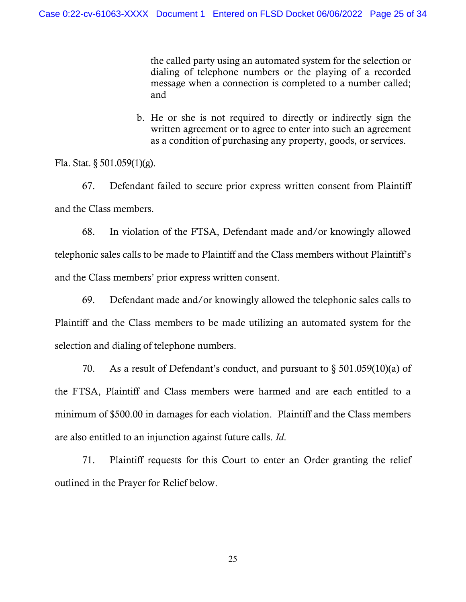the called party using an automated system for the selection or dialing of telephone numbers or the playing of a recorded message when a connection is completed to a number called; and

b. He or she is not required to directly or indirectly sign the written agreement or to agree to enter into such an agreement as a condition of purchasing any property, goods, or services.

Fla. Stat.  $\S 501.059(1)(g)$ .

67. Defendant failed to secure prior express written consent from Plaintiff and the Class members.

68. In violation of the FTSA, Defendant made and/or knowingly allowed telephonic sales calls to be made to Plaintiff and the Class members without Plaintiff's and the Class members' prior express written consent.

69. Defendant made and/or knowingly allowed the telephonic sales calls to Plaintiff and the Class members to be made utilizing an automated system for the selection and dialing of telephone numbers.

70. As a result of Defendant's conduct, and pursuant to  $\S 501.059(10)(a)$  of the FTSA, Plaintiff and Class members were harmed and are each entitled to a minimum of \$500.00 in damages for each violation. Plaintiff and the Class members are also entitled to an injunction against future calls. *Id*.

71. Plaintiff requests for this Court to enter an Order granting the relief outlined in the Prayer for Relief below.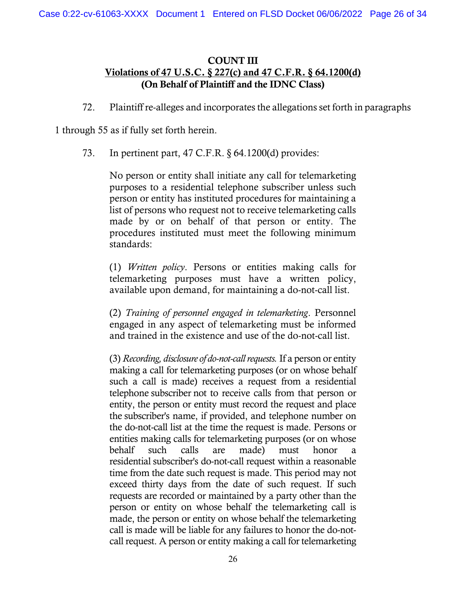# COUNT III Violations of 47 U.S.C. § 227(c) and 47 C.F.R. § 64.1200(d) (On Behalf of Plaintiff and the IDNC Class)

72. Plaintiff re-alleges and incorporates the allegations set forth in paragraphs

1 through 55 as if fully set forth herein.

73. In pertinent part, 47 C.F.R. § 64.1200(d) provides:

No person or entity shall initiate any call for telemarketing purposes to a residential telephone subscriber unless such person or entity has instituted procedures for maintaining a list of persons who request not to receive telemarketing calls made by or on behalf of that person or entity. The procedures instituted must meet the following minimum standards:

(1) *Written policy*. Persons or entities making calls for telemarketing purposes must have a written policy, available upon demand, for maintaining a do-not-call list.

(2) *Training of personnel engaged in telemarketing*. Personnel engaged in any aspect of telemarketing must be informed and trained in the existence and use of the do-not-call list.

(3) *Recording, disclosure of do-not-call requests.* If a person or entity making a call for telemarketing purposes (or on whose behalf such a call is made) receives a request from a residential telephone subscriber not to receive calls from that person or entity, the person or entity must record the request and place the subscriber's name, if provided, and telephone number on the do-not-call list at the time the request is made. Persons or entities making calls for telemarketing purposes (or on whose behalf such calls are made) must honor a residential subscriber's do-not-call request within a reasonable time from the date such request is made. This period may not exceed thirty days from the date of such request. If such requests are recorded or maintained by a party other than the person or entity on whose behalf the telemarketing call is made, the person or entity on whose behalf the telemarketing call is made will be liable for any failures to honor the do-notcall request. A person or entity making a call for telemarketing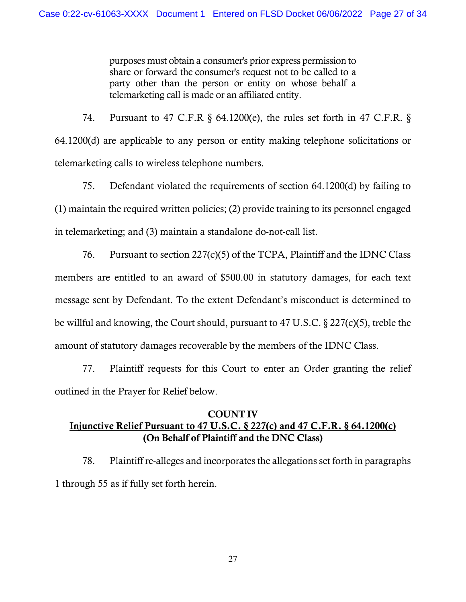purposes must obtain a consumer's prior express permission to share or forward the consumer's request not to be called to a party other than the person or entity on whose behalf a telemarketing call is made or an affiliated entity.

74. Pursuant to 47 C.F.R § 64.1200(e), the rules set forth in 47 C.F.R. § 64.1200(d) are applicable to any person or entity making telephone solicitations or telemarketing calls to wireless telephone numbers.

75. Defendant violated the requirements of section 64.1200(d) by failing to (1) maintain the required written policies; (2) provide training to its personnel engaged in telemarketing; and (3) maintain a standalone do-not-call list.

76. Pursuant to section 227(c)(5) of the TCPA, Plaintiff and the IDNC Class members are entitled to an award of \$500.00 in statutory damages, for each text message sent by Defendant. To the extent Defendant's misconduct is determined to be willful and knowing, the Court should, pursuant to 47 U.S.C. § 227(c)(5), treble the amount of statutory damages recoverable by the members of the IDNC Class.

77. Plaintiff requests for this Court to enter an Order granting the relief outlined in the Prayer for Relief below.

# COUNT IV Injunctive Relief Pursuant to 47 U.S.C. § 227(c) and 47 C.F.R. § 64.1200(c) (On Behalf of Plaintiff and the DNC Class)

78. Plaintiff re-alleges and incorporates the allegations set forth in paragraphs 1 through 55 as if fully set forth herein.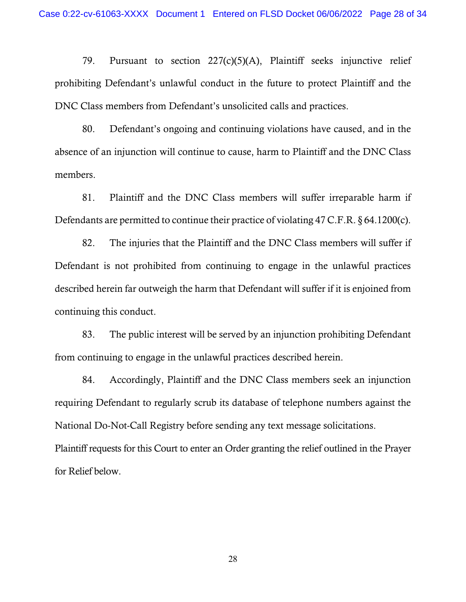79. Pursuant to section 227(c)(5)(A), Plaintiff seeks injunctive relief prohibiting Defendant's unlawful conduct in the future to protect Plaintiff and the DNC Class members from Defendant's unsolicited calls and practices.

80. Defendant's ongoing and continuing violations have caused, and in the absence of an injunction will continue to cause, harm to Plaintiff and the DNC Class members.

81. Plaintiff and the DNC Class members will suffer irreparable harm if Defendants are permitted to continue their practice of violating 47 C.F.R. § 64.1200(c).

82. The injuries that the Plaintiff and the DNC Class members will suffer if Defendant is not prohibited from continuing to engage in the unlawful practices described herein far outweigh the harm that Defendant will suffer if it is enjoined from continuing this conduct.

83. The public interest will be served by an injunction prohibiting Defendant from continuing to engage in the unlawful practices described herein.

84. Accordingly, Plaintiff and the DNC Class members seek an injunction requiring Defendant to regularly scrub its database of telephone numbers against the National Do-Not-Call Registry before sending any text message solicitations. Plaintiff requests for this Court to enter an Order granting the relief outlined in the Prayer for Relief below.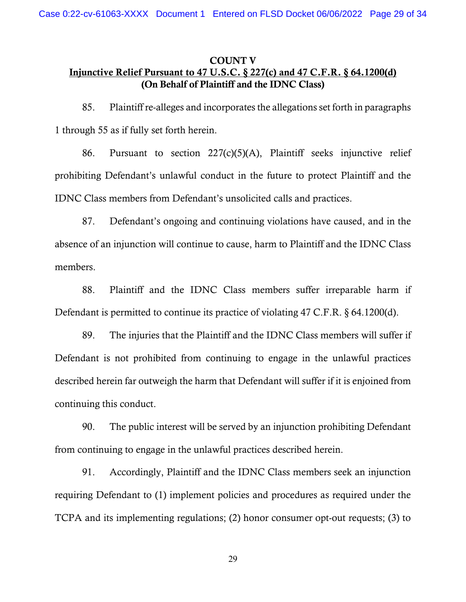#### COUNT V Injunctive Relief Pursuant to 47 U.S.C. § 227(c) and 47 C.F.R. § 64.1200(d) (On Behalf of Plaintiff and the IDNC Class)

85. Plaintiff re-alleges and incorporates the allegations set forth in paragraphs 1 through 55 as if fully set forth herein.

86. Pursuant to section 227(c)(5)(A), Plaintiff seeks injunctive relief prohibiting Defendant's unlawful conduct in the future to protect Plaintiff and the IDNC Class members from Defendant's unsolicited calls and practices.

87. Defendant's ongoing and continuing violations have caused, and in the absence of an injunction will continue to cause, harm to Plaintiff and the IDNC Class members.

88. Plaintiff and the IDNC Class members suffer irreparable harm if Defendant is permitted to continue its practice of violating 47 C.F.R. § 64.1200(d).

89. The injuries that the Plaintiff and the IDNC Class members will suffer if Defendant is not prohibited from continuing to engage in the unlawful practices described herein far outweigh the harm that Defendant will suffer if it is enjoined from continuing this conduct.

90. The public interest will be served by an injunction prohibiting Defendant from continuing to engage in the unlawful practices described herein.

91. Accordingly, Plaintiff and the IDNC Class members seek an injunction requiring Defendant to (1) implement policies and procedures as required under the TCPA and its implementing regulations; (2) honor consumer opt-out requests; (3) to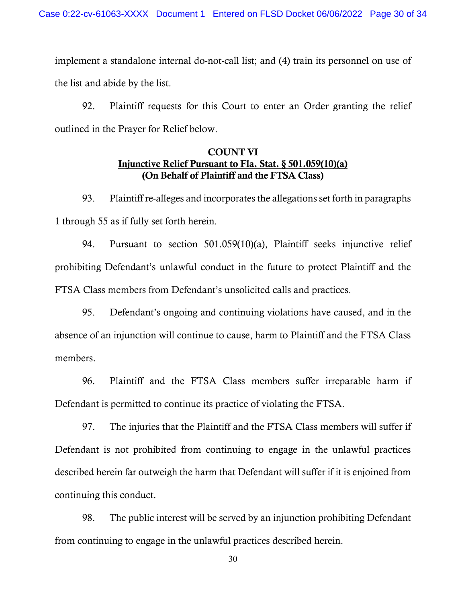implement a standalone internal do-not-call list; and (4) train its personnel on use of the list and abide by the list.

92. Plaintiff requests for this Court to enter an Order granting the relief outlined in the Prayer for Relief below.

## COUNT VI Injunctive Relief Pursuant to Fla. Stat. § 501.059(10)(a) (On Behalf of Plaintiff and the FTSA Class)

93. Plaintiff re-alleges and incorporates the allegations set forth in paragraphs 1 through 55 as if fully set forth herein.

94. Pursuant to section 501.059(10)(a), Plaintiff seeks injunctive relief prohibiting Defendant's unlawful conduct in the future to protect Plaintiff and the FTSA Class members from Defendant's unsolicited calls and practices.

95. Defendant's ongoing and continuing violations have caused, and in the absence of an injunction will continue to cause, harm to Plaintiff and the FTSA Class members.

96. Plaintiff and the FTSA Class members suffer irreparable harm if Defendant is permitted to continue its practice of violating the FTSA.

97. The injuries that the Plaintiff and the FTSA Class members will suffer if Defendant is not prohibited from continuing to engage in the unlawful practices described herein far outweigh the harm that Defendant will suffer if it is enjoined from continuing this conduct.

98. The public interest will be served by an injunction prohibiting Defendant from continuing to engage in the unlawful practices described herein.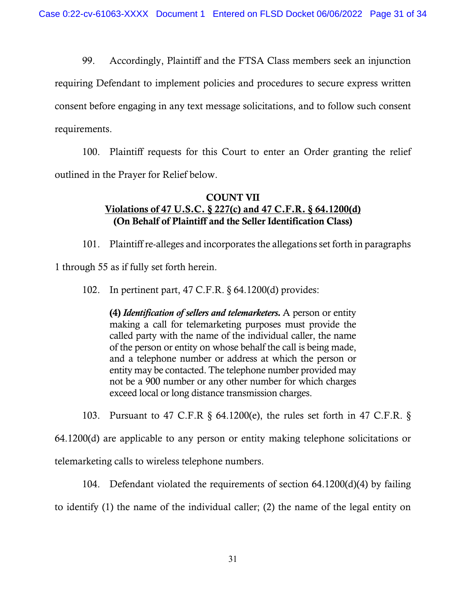99. Accordingly, Plaintiff and the FTSA Class members seek an injunction

requiring Defendant to implement policies and procedures to secure express written

consent before engaging in any text message solicitations, and to follow such consent

requirements.

100. Plaintiff requests for this Court to enter an Order granting the relief outlined in the Prayer for Relief below.

## COUNT VII Violations of 47 U.S.C. § 227(c) and 47 C.F.R. § 64.1200(d) (On Behalf of Plaintiff and the Seller Identification Class)

101. Plaintiff re-alleges and incorporates the allegations set forth in paragraphs

1 through 55 as if fully set forth herein.

102. In pertinent part, 47 C.F.R. § 64.1200(d) provides:

(4) *Identification of sellers and telemarketers.* A person or entity making a call for telemarketing purposes must provide the called party with the name of the individual caller, the name of the person or entity on whose behalf the call is being made, and a telephone number or address at which the person or entity may be contacted. The telephone number provided may not be a 900 number or any other number for which charges exceed local or long distance transmission charges.

103. Pursuant to 47 C.F.R § 64.1200(e), the rules set forth in 47 C.F.R. §

64.1200(d) are applicable to any person or entity making telephone solicitations or telemarketing calls to wireless telephone numbers.

104. Defendant violated the requirements of section 64.1200(d)(4) by failing to identify (1) the name of the individual caller; (2) the name of the legal entity on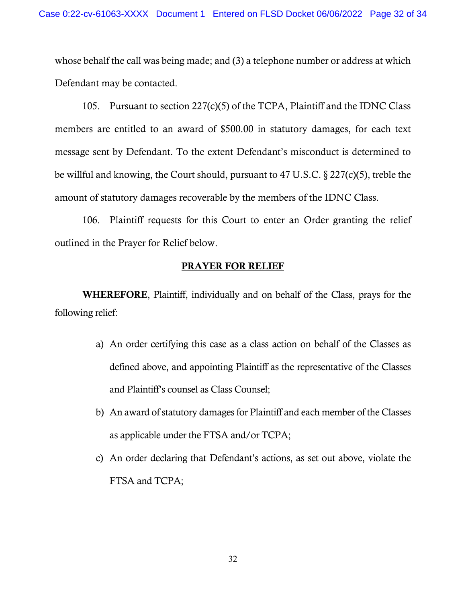whose behalf the call was being made; and (3) a telephone number or address at which Defendant may be contacted.

105. Pursuant to section 227(c)(5) of the TCPA, Plaintiff and the IDNC Class members are entitled to an award of \$500.00 in statutory damages, for each text message sent by Defendant. To the extent Defendant's misconduct is determined to be willful and knowing, the Court should, pursuant to 47 U.S.C. § 227(c)(5), treble the amount of statutory damages recoverable by the members of the IDNC Class.

106. Plaintiff requests for this Court to enter an Order granting the relief outlined in the Prayer for Relief below.

### PRAYER FOR RELIEF

WHEREFORE, Plaintiff, individually and on behalf of the Class, prays for the following relief:

- a) An order certifying this case as a class action on behalf of the Classes as defined above, and appointing Plaintiff as the representative of the Classes and Plaintiff's counsel as Class Counsel;
- b) An award of statutory damages for Plaintiff and each member of the Classes as applicable under the FTSA and/or TCPA;
- c) An order declaring that Defendant's actions, as set out above, violate the FTSA and TCPA;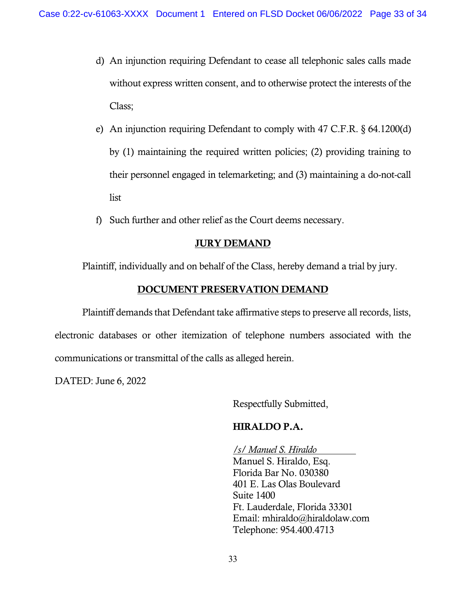- d) An injunction requiring Defendant to cease all telephonic sales calls made without express written consent, and to otherwise protect the interests of the Class;
- e) An injunction requiring Defendant to comply with 47 C.F.R. § 64.1200(d) by (1) maintaining the required written policies; (2) providing training to their personnel engaged in telemarketing; and (3) maintaining a do-not-call list
- f) Such further and other relief as the Court deems necessary.

### JURY DEMAND

Plaintiff, individually and on behalf of the Class, hereby demand a trial by jury.

# DOCUMENT PRESERVATION DEMAND

Plaintiff demands that Defendant take affirmative steps to preserve all records, lists, electronic databases or other itemization of telephone numbers associated with the communications or transmittal of the calls as alleged herein.

DATED: June 6, 2022

Respectfully Submitted,

# HIRALDO P.A.

*/s/ Manuel S. Hiraldo*  Manuel S. Hiraldo, Esq. Florida Bar No. 030380 401 E. Las Olas Boulevard Suite 1400 Ft. Lauderdale, Florida 33301 Email: mhiraldo@hiraldolaw.com Telephone: 954.400.4713